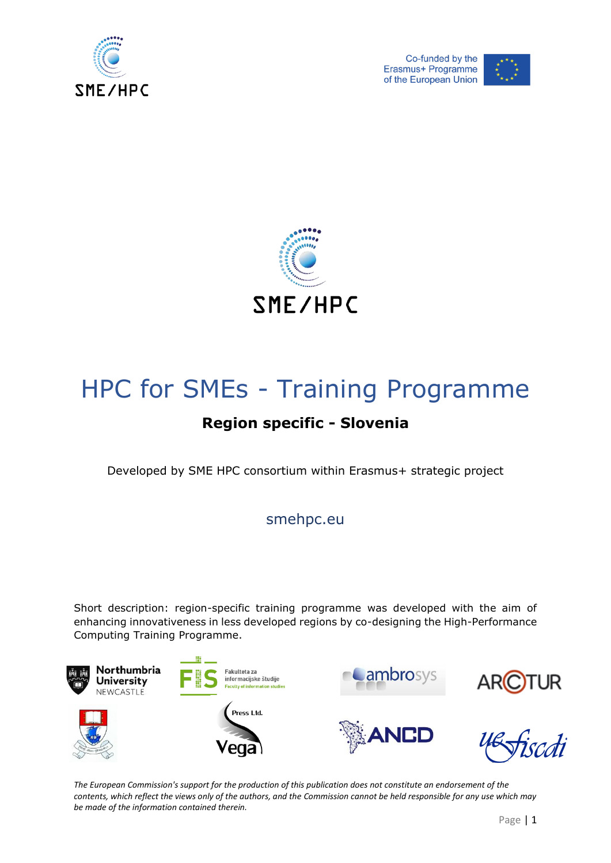





# HPC for SMEs - Training Programme

## **Region specific - Slovenia**

Developed by SME HPC consortium within Erasmus+ strategic project

smehpc.eu

Short description: region-specific training programme was developed with the aim of enhancing innovativeness in less developed regions by co-designing the High-Performance Computing Training Programme.

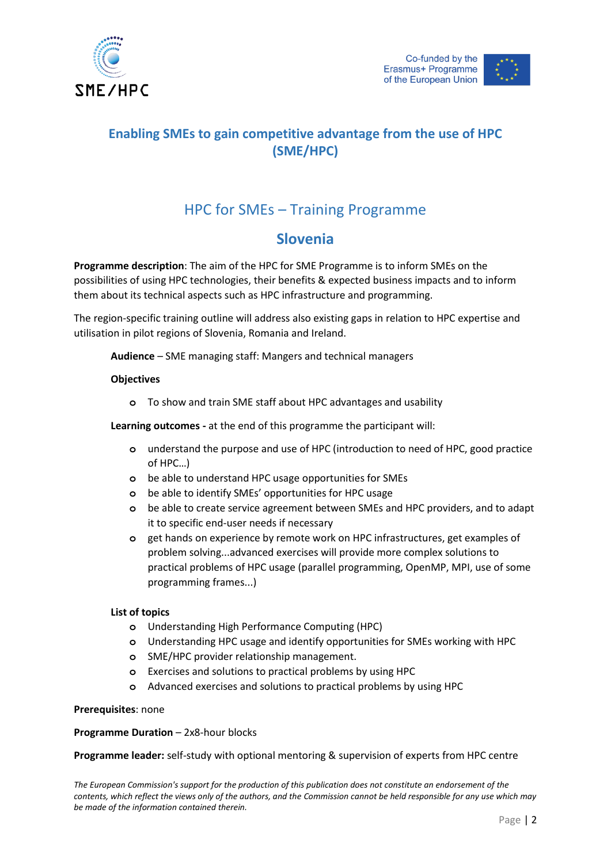

## **Enabling SMEs to gain competitive advantage from the use of HPC (SME/HPC)**

## HPC for SMEs – Training Programme

## **Slovenia**

**Programme description**: The aim of the HPC for SME Programme is to inform SMEs on the possibilities of using HPC technologies, their benefits & expected business impacts and to inform them about its technical aspects such as HPC infrastructure and programming.

The region-specific training outline will address also existing gaps in relation to HPC expertise and utilisation in pilot regions of Slovenia, Romania and Ireland.

**Audience** – SME managing staff: Mangers and technical managers

### **Objectives**

**o** To show and train SME staff about HPC advantages and usability

**Learning outcomes -** at the end of this programme the participant will:

- **o** understand the purpose and use of HPC (introduction to need of HPC, good practice of HPC…)
- **o** be able to understand HPC usage opportunities for SMEs
- **o** be able to identify SMEs' opportunities for HPC usage
- **o** be able to create service agreement between SMEs and HPC providers, and to adapt it to specific end-user needs if necessary
- **o** get hands on experience by remote work on HPC infrastructures, get examples of problem solving...advanced exercises will provide more complex solutions to practical problems of HPC usage (parallel programming, OpenMP, MPI, use of some programming frames...)

#### **List of topics**

- **o** Understanding High Performance Computing (HPC)
- **o** Understanding HPC usage and identify opportunities for SMEs working with HPC
- **o** SME/HPC provider relationship management.
- **o** Exercises and solutions to practical problems by using HPC
- **o** Advanced exercises and solutions to practical problems by using HPC

#### **Prerequisites**: none

#### **Programme Duration** – 2x8-hour blocks

**Programme leader:** self-study with optional mentoring & supervision of experts from HPC centre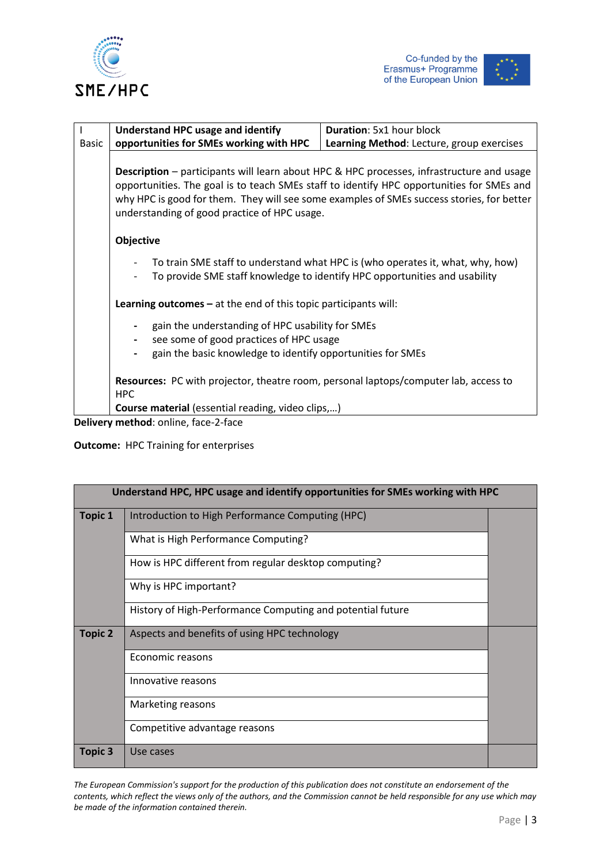





|              | Understand HPC usage and identify                                                                                                                                                                                                                                                                                                          | <b>Duration:</b> 5x1 hour block                                                                                                                              |  |
|--------------|--------------------------------------------------------------------------------------------------------------------------------------------------------------------------------------------------------------------------------------------------------------------------------------------------------------------------------------------|--------------------------------------------------------------------------------------------------------------------------------------------------------------|--|
| <b>Basic</b> | opportunities for SMEs working with HPC<br>Learning Method: Lecture, group exercises                                                                                                                                                                                                                                                       |                                                                                                                                                              |  |
|              | <b>Description</b> – participants will learn about HPC & HPC processes, infrastructure and usage<br>opportunities. The goal is to teach SMEs staff to identify HPC opportunities for SMEs and<br>why HPC is good for them. They will see some examples of SMEs success stories, for better<br>understanding of good practice of HPC usage. |                                                                                                                                                              |  |
|              | Objective                                                                                                                                                                                                                                                                                                                                  |                                                                                                                                                              |  |
|              |                                                                                                                                                                                                                                                                                                                                            | To train SME staff to understand what HPC is (who operates it, what, why, how)<br>To provide SME staff knowledge to identify HPC opportunities and usability |  |
|              | <b>Learning outcomes</b> $-$ at the end of this topic participants will:                                                                                                                                                                                                                                                                   |                                                                                                                                                              |  |
|              | gain the understanding of HPC usability for SMEs                                                                                                                                                                                                                                                                                           |                                                                                                                                                              |  |
|              | see some of good practices of HPC usage<br>$\overline{\phantom{a}}$                                                                                                                                                                                                                                                                        |                                                                                                                                                              |  |
|              | gain the basic knowledge to identify opportunities for SMEs<br>$\overline{\phantom{0}}$                                                                                                                                                                                                                                                    |                                                                                                                                                              |  |
|              | <b>HPC</b><br><b>Course material</b> (essential reading, video clips,)                                                                                                                                                                                                                                                                     | Resources: PC with projector, theatre room, personal laptops/computer lab, access to                                                                         |  |
|              | Delivery method, online foso 3 foso                                                                                                                                                                                                                                                                                                        |                                                                                                                                                              |  |

**Delivery method**: online, face-2-face

**Outcome:** HPC Training for enterprises

| Understand HPC, HPC usage and identify opportunities for SMEs working with HPC |                                                            |  |
|--------------------------------------------------------------------------------|------------------------------------------------------------|--|
| <b>Topic 1</b>                                                                 | Introduction to High Performance Computing (HPC)           |  |
|                                                                                | What is High Performance Computing?                        |  |
|                                                                                | How is HPC different from regular desktop computing?       |  |
|                                                                                | Why is HPC important?                                      |  |
|                                                                                | History of High-Performance Computing and potential future |  |
| <b>Topic 2</b>                                                                 | Aspects and benefits of using HPC technology               |  |
|                                                                                | Economic reasons                                           |  |
|                                                                                | Innovative reasons                                         |  |
|                                                                                | Marketing reasons                                          |  |
|                                                                                | Competitive advantage reasons                              |  |
| <b>Topic 3</b>                                                                 | Use cases                                                  |  |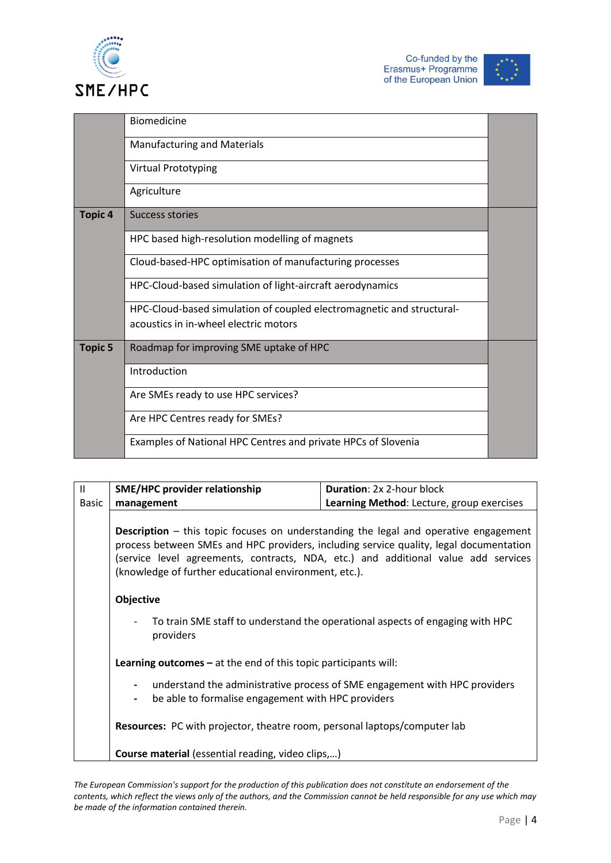



|                | <b>Biomedicine</b>                                                    |  |
|----------------|-----------------------------------------------------------------------|--|
|                | <b>Manufacturing and Materials</b>                                    |  |
|                | <b>Virtual Prototyping</b>                                            |  |
|                | Agriculture                                                           |  |
| <b>Topic 4</b> | Success stories                                                       |  |
|                | HPC based high-resolution modelling of magnets                        |  |
|                | Cloud-based-HPC optimisation of manufacturing processes               |  |
|                | HPC-Cloud-based simulation of light-aircraft aerodynamics             |  |
|                | HPC-Cloud-based simulation of coupled electromagnetic and structural- |  |
|                | acoustics in in-wheel electric motors                                 |  |
| <b>Topic 5</b> | Roadmap for improving SME uptake of HPC                               |  |
|                | Introduction                                                          |  |
|                | Are SMEs ready to use HPC services?                                   |  |
|                | Are HPC Centres ready for SMEs?                                       |  |
|                | Examples of National HPC Centres and private HPCs of Slovenia         |  |

| $\mathbf{II}$ | <b>SME/HPC provider relationship</b>                                                                                                                                                  | <b>Duration: 2x 2-hour block</b>                                           |  |  |
|---------------|---------------------------------------------------------------------------------------------------------------------------------------------------------------------------------------|----------------------------------------------------------------------------|--|--|
| <b>Basic</b>  | management                                                                                                                                                                            | Learning Method: Lecture, group exercises                                  |  |  |
|               | <b>Description</b> – this topic focuses on understanding the legal and operative engagement<br>process between SMEs and HPC providers, including service quality, legal documentation |                                                                            |  |  |
|               | (service level agreements, contracts, NDA, etc.) and additional value add services<br>(knowledge of further educational environment, etc.).                                           |                                                                            |  |  |
|               | Objective<br>To train SME staff to understand the operational aspects of engaging with HPC<br>providers<br><b>Learning outcomes</b> $-$ at the end of this topic participants will:   |                                                                            |  |  |
|               |                                                                                                                                                                                       |                                                                            |  |  |
|               |                                                                                                                                                                                       |                                                                            |  |  |
|               | $\blacksquare$<br>be able to formalise engagement with HPC providers<br>$\overline{\phantom{a}}$                                                                                      | understand the administrative process of SME engagement with HPC providers |  |  |
|               | <b>Resources:</b> PC with projector, theatre room, personal laptops/computer lab                                                                                                      |                                                                            |  |  |
|               | <b>Course material</b> (essential reading, video clips,)                                                                                                                              |                                                                            |  |  |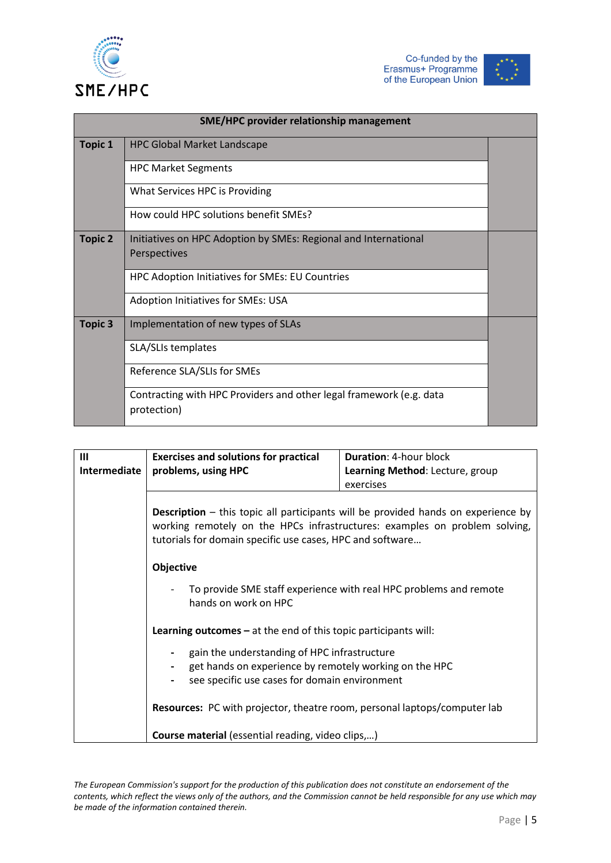





| SME/HPC provider relationship management |                                                                                    |  |
|------------------------------------------|------------------------------------------------------------------------------------|--|
| <b>Topic 1</b>                           | <b>HPC Global Market Landscape</b>                                                 |  |
|                                          | <b>HPC Market Segments</b>                                                         |  |
|                                          | What Services HPC is Providing                                                     |  |
|                                          | How could HPC solutions benefit SMEs?                                              |  |
| <b>Topic 2</b>                           | Initiatives on HPC Adoption by SMEs: Regional and International                    |  |
|                                          | Perspectives                                                                       |  |
|                                          | HPC Adoption Initiatives for SMEs: EU Countries                                    |  |
|                                          | Adoption Initiatives for SMEs: USA                                                 |  |
| <b>Topic 3</b>                           | Implementation of new types of SLAs                                                |  |
|                                          | SLA/SLIs templates                                                                 |  |
|                                          | Reference SLA/SLIs for SMEs                                                        |  |
|                                          | Contracting with HPC Providers and other legal framework (e.g. data<br>protection) |  |

| Ш<br>Intermediate | <b>Exercises and solutions for practical</b><br>problems, using HPC                                                                                                                                                                 | <b>Duration: 4-hour block</b><br>Learning Method: Lecture, group |  |
|-------------------|-------------------------------------------------------------------------------------------------------------------------------------------------------------------------------------------------------------------------------------|------------------------------------------------------------------|--|
|                   |                                                                                                                                                                                                                                     | exercises                                                        |  |
|                   | <b>Description</b> – this topic all participants will be provided hands on experience by<br>working remotely on the HPCs infrastructures: examples on problem solving,<br>tutorials for domain specific use cases, HPC and software |                                                                  |  |
|                   | Objective                                                                                                                                                                                                                           |                                                                  |  |
|                   | To provide SME staff experience with real HPC problems and remote<br>hands on work on HPC                                                                                                                                           |                                                                  |  |
|                   | Learning outcomes - at the end of this topic participants will:                                                                                                                                                                     |                                                                  |  |
|                   | gain the understanding of HPC infrastructure<br>get hands on experience by remotely working on the HPC                                                                                                                              |                                                                  |  |
|                   | see specific use cases for domain environment                                                                                                                                                                                       |                                                                  |  |
|                   | <b>Resources:</b> PC with projector, theatre room, personal laptops/computer lab                                                                                                                                                    |                                                                  |  |
|                   | <b>Course material</b> (essential reading, video clips,)                                                                                                                                                                            |                                                                  |  |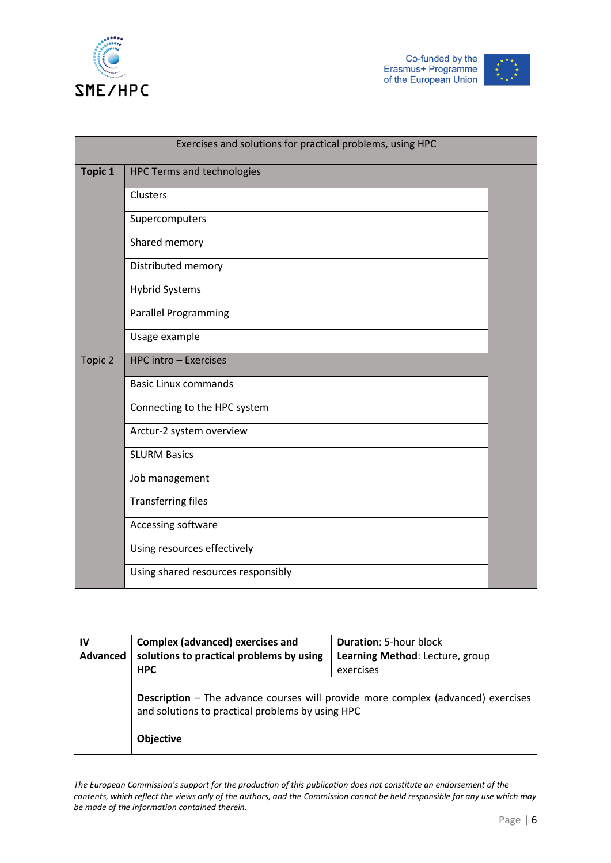



|                | Exercises and solutions for practical problems, using HPC |  |
|----------------|-----------------------------------------------------------|--|
| <b>Topic 1</b> | <b>HPC Terms and technologies</b>                         |  |
|                | Clusters                                                  |  |
|                | Supercomputers                                            |  |
|                | Shared memory                                             |  |
|                | Distributed memory                                        |  |
|                | <b>Hybrid Systems</b>                                     |  |
|                | <b>Parallel Programming</b>                               |  |
|                | Usage example                                             |  |
| Topic 2        | HPC intro - Exercises                                     |  |
|                | <b>Basic Linux commands</b>                               |  |
|                | Connecting to the HPC system                              |  |
|                | Arctur-2 system overview                                  |  |
|                | <b>SLURM Basics</b>                                       |  |
|                | Job management                                            |  |
|                | <b>Transferring files</b>                                 |  |
|                | Accessing software                                        |  |
|                | Using resources effectively                               |  |
|                | Using shared resources responsibly                        |  |

| IV<br>Advanced | <b>Complex (advanced) exercises and</b><br>solutions to practical problems by using                                                         | <b>Duration: 5-hour block</b><br>Learning Method: Lecture, group |
|----------------|---------------------------------------------------------------------------------------------------------------------------------------------|------------------------------------------------------------------|
|                | <b>HPC</b>                                                                                                                                  | exercises                                                        |
|                | <b>Description</b> – The advance courses will provide more complex (advanced) exercises<br>and solutions to practical problems by using HPC |                                                                  |
|                | <b>Objective</b>                                                                                                                            |                                                                  |